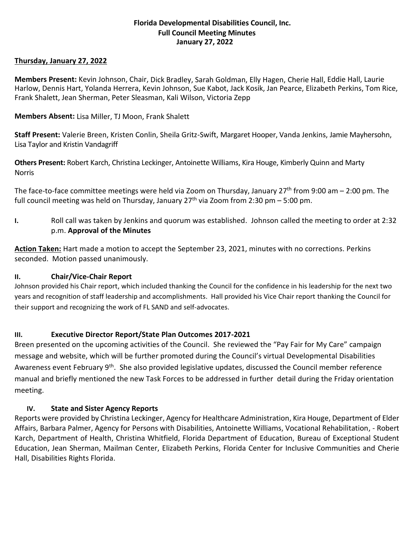## **Florida Developmental Disabilities Council, Inc. Full Council Meeting Minutes January 27, 2022**

## **Thursday, January 27, 2022**

**Members Present:** Kevin Johnson, Chair, Dick Bradley, Sarah Goldman, Elly Hagen, Cherie Hall, Eddie Hall, Laurie Harlow, Dennis Hart, Yolanda Herrera, Kevin Johnson, Sue Kabot, Jack Kosik, Jan Pearce, Elizabeth Perkins, Tom Rice, Frank Shalett, Jean Sherman, Peter Sleasman, Kali Wilson, Victoria Zepp

**Members Absent:** Lisa Miller, TJ Moon, Frank Shalett

**Staff Present:** Valerie Breen, Kristen Conlin, Sheila Gritz-Swift, Margaret Hooper, Vanda Jenkins, Jamie Mayhersohn, Lisa Taylor and Kristin Vandagriff

**Others Present:** Robert Karch, Christina Leckinger, Antoinette Williams, Kira Houge, Kimberly Quinn and Marty Norris

The face-to-face committee meetings were held via Zoom on Thursday, January 27<sup>th</sup> from 9:00 am  $-$  2:00 pm. The full council meeting was held on Thursday, January  $27<sup>th</sup>$  via Zoom from 2:30 pm – 5:00 pm.

**I.** Roll call was taken by Jenkins and quorum was established. Johnson called the meeting to order at 2:32 p.m. **Approval of the Minutes**

**Action Taken:** Hart made a motion to accept the September 23, 2021, minutes with no corrections. Perkins seconded. Motion passed unanimously.

# **II. Chair/Vice-Chair Report**

Johnson provided his Chair report, which included thanking the Council for the confidence in his leadership for the next two years and recognition of staff leadership and accomplishments. Hall provided his Vice Chair report thanking the Council for their support and recognizing the work of FL SAND and self-advocates.

# **III. Executive Director Report/State Plan Outcomes 2017-2021**

Breen presented on the upcoming activities of the Council. She reviewed the "Pay Fair for My Care" campaign message and website, which will be further promoted during the Council's virtual Developmental Disabilities Awareness event February 9<sup>th</sup>. She also provided legislative updates, discussed the Council member reference manual and briefly mentioned the new Task Forces to be addressed in further detail during the Friday orientation meeting.

# **IV. State and Sister Agency Reports**

Reports were provided by Christina Leckinger, Agency for Healthcare Administration, Kira Houge, Department of Elder Affairs, Barbara Palmer, Agency for Persons with Disabilities, Antoinette Williams, Vocational Rehabilitation, - Robert Karch, Department of Health, Christina Whitfield, Florida Department of Education, Bureau of Exceptional Student Education, Jean Sherman, Mailman Center, Elizabeth Perkins, Florida Center for Inclusive Communities and Cherie Hall, Disabilities Rights Florida.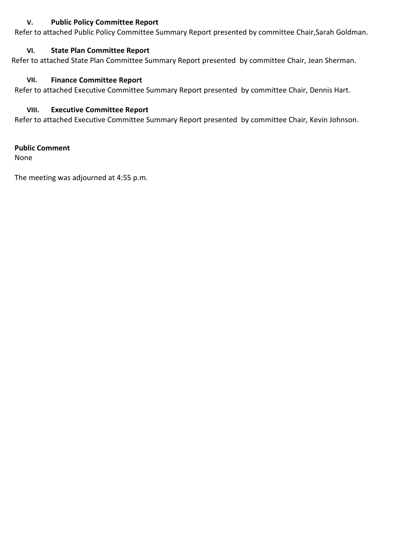## **V. Public Policy Committee Report**

Refer to attached Public Policy Committee Summary Report presented by committee Chair,Sarah Goldman.

## **VI. State Plan Committee Report**

Refer to attached State Plan Committee Summary Report presented by committee Chair, Jean Sherman.

## **VII. Finance Committee Report**

Refer to attached Executive Committee Summary Report presented by committee Chair, Dennis Hart.

## **VIII. Executive Committee Report**

Refer to attached Executive Committee Summary Report presented by committee Chair, Kevin Johnson.

**Public Comment**

None

The meeting was adjourned at 4:55 p.m.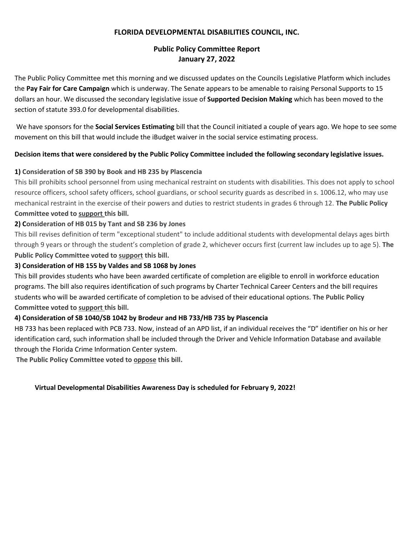#### **FLORIDA DEVELOPMENTAL DISABILITIES COUNCIL, INC.**

# **Public Policy Committee Report January 27, 2022**

The Public Policy Committee met this morning and we discussed updates on the Councils Legislative Platform which includes the **Pay Fair for Care Campaign** which is underway. The Senate appears to be amenable to raising Personal Supports to 15 dollars an hour. We discussed the secondary legislative issue of **Supported Decision Making** which has been moved to the section of statute 393.0 for developmental disabilities.

We have sponsors for the **Social Services Estimating** bill that the Council initiated a couple of years ago. We hope to see some movement on this bill that would include the iBudget waiver in the social service estimating process.

#### **Decision items that were considered by the Public Policy Committee included the following secondary legislative issues.**

## **1) Consideration of SB 390 by Book and HB 235 by Plascencia**

This bill prohibits school personnel from using mechanical restraint on students with disabilities. This does not apply to school resource officers, school safety officers, school guardians, or school security guards as described in s. 1006.12, who may use mechanical restraint in the exercise of their powers and duties to restrict students in grades 6 through 12. **The Public Policy Committee voted to support this bill.**

## **2) Consideration of HB 015 by Tant and SB 236 by Jones**

This bill revises definition of term "exceptional student" to include additional students with developmental delays ages birth through 9 years or through the student's completion of grade 2, whichever occurs first (current law includes up to age 5). **The Public Policy Committee voted to support this bill.**

## **3) Consideration of HB 155 by Valdes and SB 1068 by Jones**

This bill provides students who have been awarded certificate of completion are eligible to enroll in workforce education programs. The bill also requires identification of such programs by Charter Technical Career Centers and the bill requires students who will be awarded certificate of completion to be advised of their educational options. **The Public Policy Committee voted to support this bill.**

#### **4) Consideration of SB 1040/SB 1042 by Brodeur and HB 733/HB 735 by Plascencia**

HB 733 has been replaced with PCB 733. Now, instead of an APD list, if an individual receives the "D" identifier on his or her identification card, such information shall be included through the Driver and Vehicle Information Database and available through the Florida Crime Information Center system.

**The Public Policy Committee voted to oppose this bill.**

#### **Virtual Developmental Disabilities Awareness Day is scheduled for February 9, 2022!**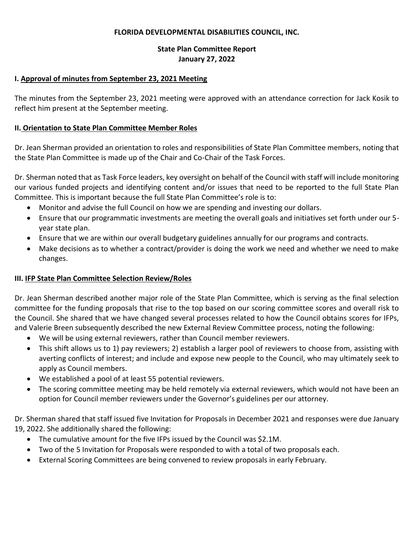#### **FLORIDA DEVELOPMENTAL DISABILITIES COUNCIL, INC.**

# **State Plan Committee Report January 27, 2022**

#### **I. Approval of minutes from September 23, 2021 Meeting**

The minutes from the September 23, 2021 meeting were approved with an attendance correction for Jack Kosik to reflect him present at the September meeting.

## **II. Orientation to State Plan Committee Member Roles**

Dr. Jean Sherman provided an orientation to roles and responsibilities of State Plan Committee members, noting that the State Plan Committee is made up of the Chair and Co-Chair of the Task Forces.

Dr. Sherman noted that as Task Force leaders, key oversight on behalf of the Council with staff will include monitoring our various funded projects and identifying content and/or issues that need to be reported to the full State Plan Committee. This is important because the full State Plan Committee's role is to:

- Monitor and advise the full Council on how we are spending and investing our dollars.
- Ensure that our programmatic investments are meeting the overall goals and initiatives set forth under our 5 year state plan.
- Ensure that we are within our overall budgetary guidelines annually for our programs and contracts.
- Make decisions as to whether a contract/provider is doing the work we need and whether we need to make changes.

# **III. IFP State Plan Committee Selection Review/Roles**

Dr. Jean Sherman described another major role of the State Plan Committee, which is serving as the final selection committee for the funding proposals that rise to the top based on our scoring committee scores and overall risk to the Council. She shared that we have changed several processes related to how the Council obtains scores for IFPs, and Valerie Breen subsequently described the new External Review Committee process, noting the following:

- We will be using external reviewers, rather than Council member reviewers.
- This shift allows us to 1) pay reviewers; 2) establish a larger pool of reviewers to choose from, assisting with averting conflicts of interest; and include and expose new people to the Council, who may ultimately seek to apply as Council members.
- We established a pool of at least 55 potential reviewers.
- The scoring committee meeting may be held remotely via external reviewers, which would not have been an option for Council member reviewers under the Governor's guidelines per our attorney.

Dr. Sherman shared that staff issued five Invitation for Proposals in December 2021 and responses were due January 19, 2022. She additionally shared the following:

- The cumulative amount for the five IFPs issued by the Council was \$2.1M.
- Two of the 5 Invitation for Proposals were responded to with a total of two proposals each.
- External Scoring Committees are being convened to review proposals in early February.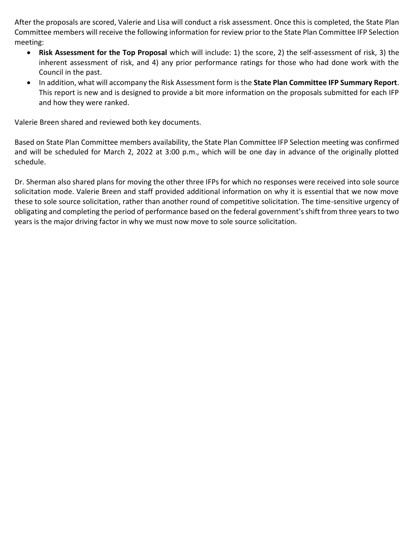After the proposals are scored, Valerie and Lisa will conduct a risk assessment. Once this is completed, the State Plan Committee members will receive the following information for review prior to the State Plan Committee IFP Selection meeting:

- **Risk Assessment for the Top Proposal** which will include: 1) the score, 2) the self-assessment of risk, 3) the inherent assessment of risk, and 4) any prior performance ratings for those who had done work with the Council in the past.
- In addition, what will accompany the Risk Assessment form is the **State Plan Committee IFP Summary Report**. This report is new and is designed to provide a bit more information on the proposals submitted for each IFP and how they were ranked.

Valerie Breen shared and reviewed both key documents.

Based on State Plan Committee members availability, the State Plan Committee IFP Selection meeting was confirmed and will be scheduled for March 2, 2022 at 3:00 p.m., which will be one day in advance of the originally plotted schedule.

Dr. Sherman also shared plans for moving the other three IFPs for which no responses were received into sole source solicitation mode. Valerie Breen and staff provided additional information on why it is essential that we now move these to sole source solicitation, rather than another round of competitive solicitation. The time-sensitive urgency of obligating and completing the period of performance based on the federal government's shift from three years to two years is the major driving factor in why we must now move to sole source solicitation.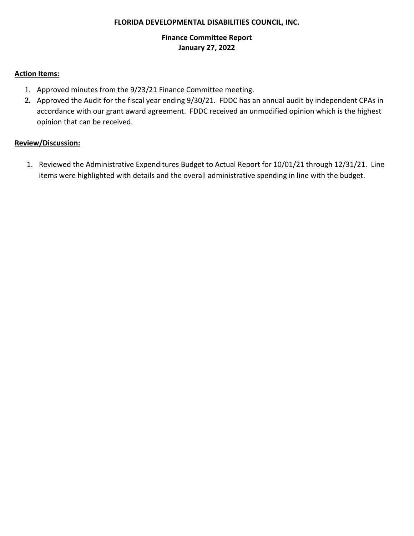#### **FLORIDA DEVELOPMENTAL DISABILITIES COUNCIL, INC.**

# **Finance Committee Report January 27, 2022**

## **Action Items:**

- 1. Approved minutes from the 9/23/21 Finance Committee meeting.
- **2.** Approved the Audit for the fiscal year ending 9/30/21. FDDC has an annual audit by independent CPAs in accordance with our grant award agreement. FDDC received an unmodified opinion which is the highest opinion that can be received.

# **Review/Discussion:**

1. Reviewed the Administrative Expenditures Budget to Actual Report for 10/01/21 through 12/31/21. Line items were highlighted with details and the overall administrative spending in line with the budget.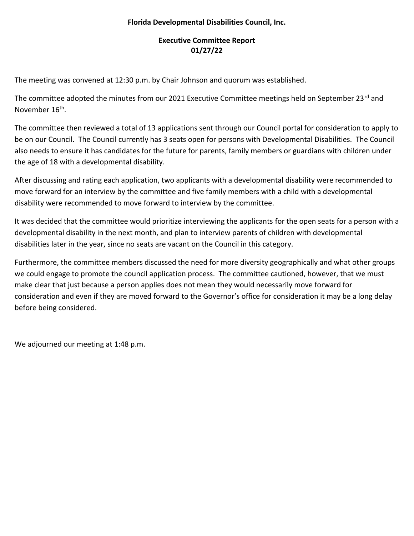# **Florida Developmental Disabilities Council, Inc.**

# **Executive Committee Report 01/27/22**

The meeting was convened at 12:30 p.m. by Chair Johnson and quorum was established.

The committee adopted the minutes from our 2021 Executive Committee meetings held on September 23<sup>rd</sup> and November 16<sup>th</sup>.

The committee then reviewed a total of 13 applications sent through our Council portal for consideration to apply to be on our Council. The Council currently has 3 seats open for persons with Developmental Disabilities. The Council also needs to ensure it has candidates for the future for parents, family members or guardians with children under the age of 18 with a developmental disability.

After discussing and rating each application, two applicants with a developmental disability were recommended to move forward for an interview by the committee and five family members with a child with a developmental disability were recommended to move forward to interview by the committee.

It was decided that the committee would prioritize interviewing the applicants for the open seats for a person with a developmental disability in the next month, and plan to interview parents of children with developmental disabilities later in the year, since no seats are vacant on the Council in this category.

Furthermore, the committee members discussed the need for more diversity geographically and what other groups we could engage to promote the council application process. The committee cautioned, however, that we must make clear that just because a person applies does not mean they would necessarily move forward for consideration and even if they are moved forward to the Governor's office for consideration it may be a long delay before being considered.

We adjourned our meeting at 1:48 p.m.